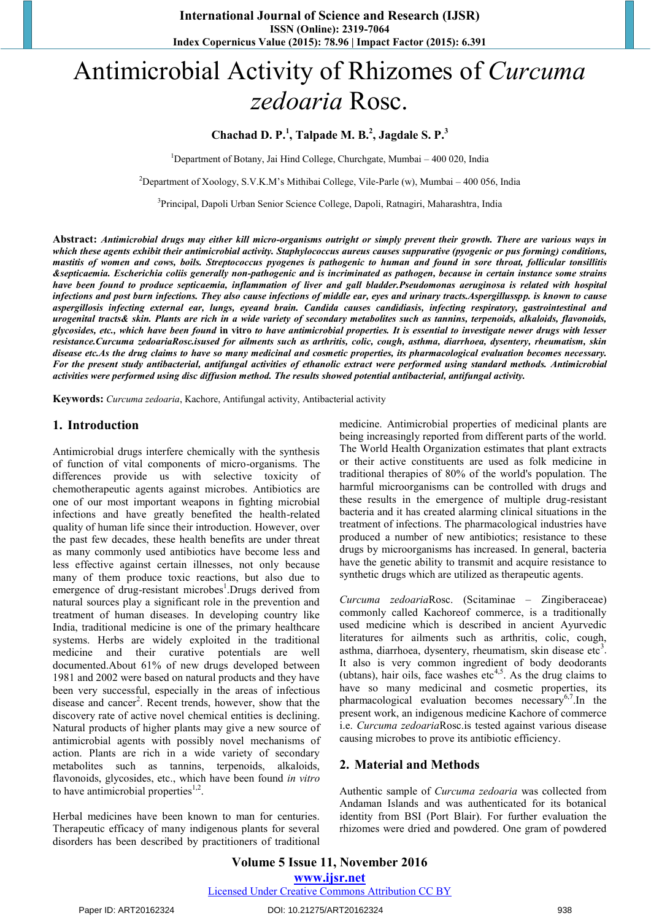# Antimicrobial Activity of Rhizomes of *Curcuma zedoaria* Rosc.

## **Chachad D. P.<sup>1</sup> , Talpade M. B.2 , Jagdale S. P.<sup>3</sup>**

<sup>1</sup>Department of Botany, Jai Hind College, Churchgate, Mumbai - 400 020, India

<sup>2</sup>Department of Xoology, S.V.K.M's Mithibai College, Vile-Parle (w), Mumbai – 400 056, India

<sup>3</sup>Principal, Dapoli Urban Senior Science College, Dapoli, Ratnagiri, Maharashtra, India

**Abstract:** *Antimicrobial drugs may either kill micro-organisms outright or simply prevent their growth. There are various ways in which these agents exhibit their antimicrobial activity. Staphylococcus aureus causes suppurative (pyogenic or pus forming) conditions, mastitis of women and cows, boils. Streptococcus pyogenes is pathogenic to human and found in sore throat, follicular tonsillitis &septicaemia. Escherichia coliis generally non-pathogenic and is incriminated as pathogen, because in certain instance some strains have been found to produce septicaemia, inflammation of liver and gall bladder.Pseudomonas aeruginosa is related with hospital infections and post burn infections. They also cause infections of middle ear, eyes and urinary tracts.Aspergillusspp. is known to cause aspergillosis infecting external ear, lungs, eyeand brain. Candida causes candidiasis, infecting respiratory, gastrointestinal and urogenital tracts& skin. Plants are rich in a wide variety of secondary metabolites such as tannins, terpenoids, alkaloids, flavonoids, glycosides, etc., which have been found* **in vitro** *to have antimicrobial properties. It is essential to investigate newer drugs with lesser resistance.Curcuma zedoariaRosc.isused for ailments such as arthritis, colic, cough, asthma, diarrhoea, dysentery, rheumatism, skin disease etc.As the drug claims to have so many medicinal and cosmetic properties, its pharmacological evaluation becomes necessary.*  For the present study antibacterial, antifungal activities of ethanolic extract were performed using standard methods. Antimicrobial *activities were performed using disc diffusion method. The results showed potential antibacterial, antifungal activity.*

**Keywords:** *Curcuma zedoaria*, Kachore, Antifungal activity, Antibacterial activity

#### **1. Introduction**

Antimicrobial drugs interfere chemically with the synthesis of function of vital components of micro-organisms. The differences provide us with selective toxicity of chemotherapeutic agents against microbes. Antibiotics are one of our most important weapons in fighting microbial infections and have greatly benefited the health-related quality of human life since their introduction. However, over the past few decades, these health benefits are under threat as many commonly used antibiotics have become less and less effective against certain illnesses, not only because many of them produce toxic reactions, but also due to emergence of drug-resistant microbes<sup>1</sup>.Drugs derived from natural sources play a significant role in the prevention and treatment of human diseases. In developing country like India, traditional medicine is one of the primary healthcare systems. Herbs are widely exploited in the traditional medicine and their curative potentials are well documented.About 61% of new drugs developed between 1981 and 2002 were based on natural products and they have been very successful, especially in the areas of infectious disease and cancer<sup>2</sup>. Recent trends, however, show that the discovery rate of active novel chemical entities is declining. Natural products of higher plants may give a new source of antimicrobial agents with possibly novel mechanisms of action. Plants are rich in a wide variety of secondary metabolites such as tannins, terpenoids, alkaloids, flavonoids, glycosides, etc., which have been found *in vitro* to have antimicrobial properties $1,2$ .

Herbal medicines have been known to man for centuries. Therapeutic efficacy of many indigenous plants for several disorders has been described by practitioners of traditional medicine. Antimicrobial properties of medicinal plants are being increasingly reported from different parts of the world. The World Health Organization estimates that plant extracts or their active constituents are used as folk medicine in traditional therapies of 80% of the world's population. The harmful microorganisms can be controlled with drugs and these results in the emergence of multiple drug-resistant bacteria and it has created alarming clinical situations in the treatment of infections. The pharmacological industries have produced a number of new antibiotics; resistance to these drugs by microorganisms has increased. In general, bacteria have the genetic ability to transmit and acquire resistance to synthetic drugs which are utilized as therapeutic agents.

*Curcuma zedoaria*Rosc. (Scitaminae – Zingiberaceae) commonly called Kachoreof commerce, is a traditionally used medicine which is described in ancient Ayurvedic literatures for ailments such as arthritis, colic, cough, asthma, diarrhoea, dysentery, rheumatism, skin disease etc<sup>3</sup>. It also is very common ingredient of body deodorants (ubtans), hair oils, face washes etc<sup>4,5</sup>. As the drug claims to have so many medicinal and cosmetic properties, its pharmacological evaluation becomes necessary6,7.In the present work, an indigenous medicine Kachore of commerce i.e. *Curcuma zedoaria*Rosc.is tested against various disease causing microbes to prove its antibiotic efficiency.

#### **2. Material and Methods**

Authentic sample of *Curcuma zedoaria* was collected from Andaman Islands and was authenticated for its botanical identity from BSI (Port Blair). For further evaluation the rhizomes were dried and powdered. One gram of powdered

**Volume 5 Issue 11, November 2016 www.ijsr.net** Licensed Under Creative Commons Attribution CC BY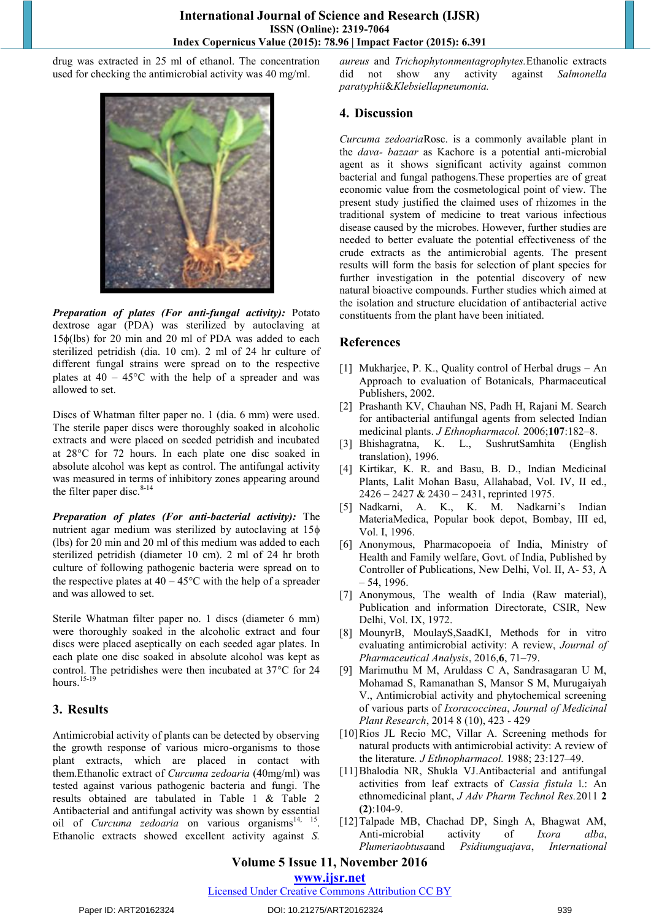drug was extracted in 25 ml of ethanol. The concentration used for checking the antimicrobial activity was 40 mg/ml.



*Preparation of plates (For anti-fungal activity):* Potato dextrose agar (PDA) was sterilized by autoclaving at  $15\phi$ (lbs) for 20 min and 20 ml of PDA was added to each sterilized petridish (dia. 10 cm). 2 ml of 24 hr culture of different fungal strains were spread on to the respective plates at  $40 - 45^{\circ}$ C with the help of a spreader and was allowed to set.

Discs of Whatman filter paper no. 1 (dia. 6 mm) were used. The sterile paper discs were thoroughly soaked in alcoholic extracts and were placed on seeded petridish and incubated at 28<sup>o</sup>C for 72 hours. In each plate one disc soaked in absolute alcohol was kept as control. The antifungal activity was measured in terms of inhibitory zones appearing around the filter paper disc. $8-14$ 

*Preparation of plates (For anti-bacterial activity):* The nutrient agar medium was sterilized by autoclaving at 15 (lbs) for 20 min and 20 ml of this medium was added to each sterilized petridish (diameter 10 cm). 2 ml of 24 hr broth culture of following pathogenic bacteria were spread on to the respective plates at  $40 - 45^{\circ}$ C with the help of a spreader and was allowed to set.

Sterile Whatman filter paper no. 1 discs (diameter 6 mm) were thoroughly soaked in the alcoholic extract and four discs were placed aseptically on each seeded agar plates. In each plate one disc soaked in absolute alcohol was kept as control. The petridishes were then incubated at  $37^{\circ}$ C for 24 hours.<sup>15-19</sup>

#### **3. Results**

Antimicrobial activity of plants can be detected by observing the growth response of various micro-organisms to those plant extracts, which are placed in contact with them.Ethanolic extract of *Curcuma zedoaria* (40mg/ml) was tested against various pathogenic bacteria and fungi. The results obtained are tabulated in Table 1 & Table 2 Antibacterial and antifungal activity was shown by essential oil of *Curcuma zedoaria* on various organisms<sup>14, 15</sup>. Ethanolic extracts showed excellent activity against *S.* 

*aureus* and *Trichophytonmentagrophytes.*Ethanolic extracts did not show any activity against *Salmonella paratyphii*&*Klebsiellapneumonia.*

## **4. Discussion**

*Curcuma zedoaria*Rosc. is a commonly available plant in the *dava- bazaar* as Kachore is a potential anti-microbial agent as it shows significant activity against common bacterial and fungal pathogens.These properties are of great economic value from the cosmetological point of view. The present study justified the claimed uses of rhizomes in the traditional system of medicine to treat various infectious disease caused by the microbes. However, further studies are needed to better evaluate the potential effectiveness of the crude extracts as the antimicrobial agents. The present results will form the basis for selection of plant species for further investigation in the potential discovery of new natural bioactive compounds. Further studies which aimed at the isolation and structure elucidation of antibacterial active constituents from the plant have been initiated.

## **References**

- [1] Mukharjee, P. K., Quality control of Herbal drugs An Approach to evaluation of Botanicals, Pharmaceutical Publishers, 2002.
- [2] Prashanth KV, Chauhan NS, Padh H, Rajani M. Search for antibacterial antifungal agents from selected Indian medicinal plants. *J Ethnopharmacol.* 2006;**107**:182–8.
- [3] Bhishagratna, K. L., SushrutSamhita (English translation), 1996.
- [4] Kirtikar, K. R. and Basu, B. D., Indian Medicinal Plants, Lalit Mohan Basu, Allahabad, Vol. IV, II ed., 2426 – 2427 & 2430 – 2431, reprinted 1975.
- [5] Nadkarni, A. K., K. M. Nadkarni's Indian MateriaMedica, Popular book depot, Bombay, III ed, Vol. I, 1996.
- [6] Anonymous, Pharmacopoeia of India, Ministry of Health and Family welfare, Govt. of India, Published by Controller of Publications, New Delhi, Vol. II, A- 53, A  $-54, 1996.$
- [7] Anonymous, The wealth of India (Raw material), Publication and information Directorate, CSIR, New Delhi, Vol. IX, 1972.
- [8] MounyrB, MoulayS,SaadKI, Methods for in vitro evaluating antimicrobial activity: A review, *Journal of Pharmaceutical Analysis*, 2016,**6**, 71–79.
- [9] Marimuthu M M, Aruldass C A, Sandrasagaran U M, Mohamad S, Ramanathan S, Mansor S M, Murugaiyah V., Antimicrobial activity and phytochemical screening of various parts of *Ixoracoccinea*, *Journal of Medicinal Plant Research*, 2014 8 (10), 423 - 429
- [10]Rios JL Recio MC, Villar A. Screening methods for natural products with antimicrobial activity: A review of the literature*. J Ethnopharmacol.* 1988; 23:127–49.
- [11[\]Bhalodia NR,](http://www.ncbi.nlm.nih.gov/pubmed/?term=Bhalodia%20NR%5BAuthor%5D&cauthor=true&cauthor_uid=22171301) [Shukla VJ.](http://www.ncbi.nlm.nih.gov/pubmed/?term=Shukla%20VJ%5BAuthor%5D&cauthor=true&cauthor_uid=22171301)Antibacterial and antifungal activities from leaf extracts of *Cassia fistula* l.: An ethnomedicinal plant, *[J Adv Pharm Technol Res.](http://www.ncbi.nlm.nih.gov/pubmed/22171301)*2011 **2 (2)**:104-9.
- [12]Talpade MB, Chachad DP, Singh A, Bhagwat AM, Anti-microbial activity of *Ixora alba*, *Plumeriaobtusa*and *Psidiumguajava*, *International*

# **Volume 5 Issue 11, November 2016**

# **www.ijsr.net**